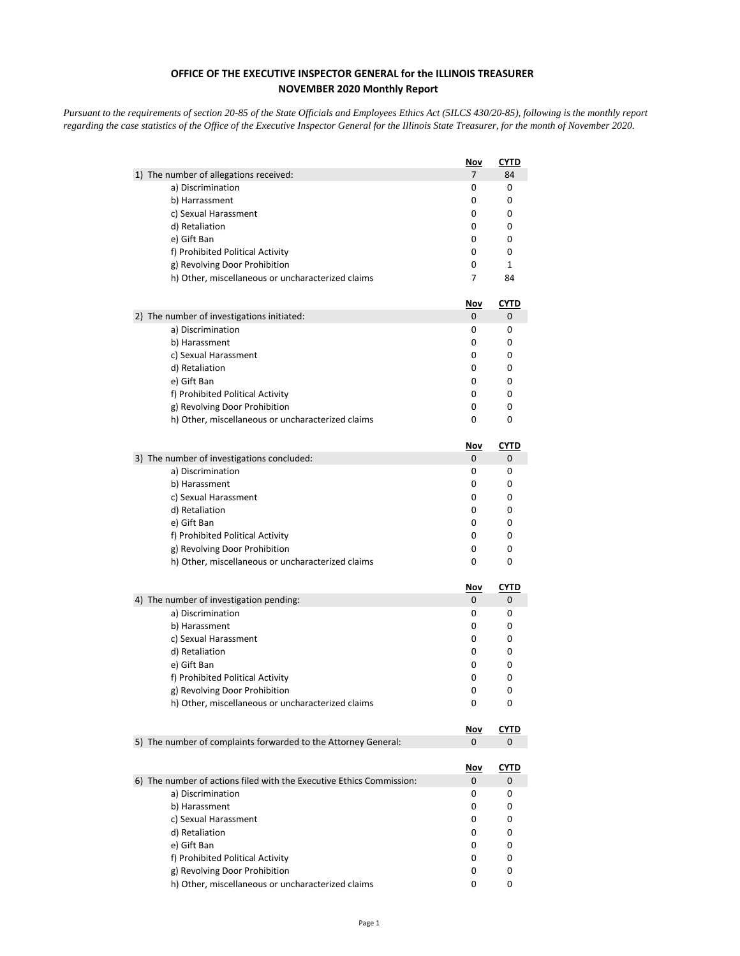## **OFFICE OF THE EXECUTIVE INSPECTOR GENERAL for the ILLINOIS TREASURER NOVEMBER 2020 Monthly Report**

*Pursuant to the requirements of section 20-85 of the State Officials and Employees Ethics Act (5ILCS 430/20-85), following is the monthly report regarding the case statistics of the Office of the Executive Inspector General for the Illinois State Treasurer, for the month of November 2020.* 

|                                                                      | <u>Nov</u>     | <b>CYTD</b> |
|----------------------------------------------------------------------|----------------|-------------|
| 1) The number of allegations received:                               | $\overline{7}$ | 84          |
| a) Discrimination                                                    | 0              | 0           |
| b) Harrassment                                                       | 0              | 0           |
| c) Sexual Harassment                                                 | 0              | 0           |
| d) Retaliation                                                       | 0              | 0           |
| e) Gift Ban                                                          | 0              | 0           |
| f) Prohibited Political Activity                                     | 0              | 0           |
| g) Revolving Door Prohibition                                        | 0              | 1           |
| h) Other, miscellaneous or uncharacterized claims                    | 7              | 84          |
|                                                                      | Nov            | <u>CYTD</u> |
| 2) The number of investigations initiated:                           | 0              | 0           |
| a) Discrimination                                                    | 0              | 0           |
| b) Harassment                                                        | 0              | 0           |
| c) Sexual Harassment                                                 | 0              | 0           |
| d) Retaliation                                                       | 0              | 0           |
| e) Gift Ban                                                          | 0              | 0           |
| f) Prohibited Political Activity                                     | 0              | 0           |
| g) Revolving Door Prohibition                                        | 0              | 0           |
| h) Other, miscellaneous or uncharacterized claims                    | 0              | 0           |
|                                                                      | Nov            | <b>CYTD</b> |
| 3) The number of investigations concluded:                           | 0              | 0           |
| a) Discrimination                                                    | 0              | 0           |
| b) Harassment                                                        | 0              | 0           |
| c) Sexual Harassment                                                 | 0              | 0           |
| d) Retaliation                                                       | 0              | 0           |
| e) Gift Ban                                                          | 0              | 0           |
| f) Prohibited Political Activity                                     | 0              | 0           |
| g) Revolving Door Prohibition                                        | 0              | 0           |
| h) Other, miscellaneous or uncharacterized claims                    | 0              | 0           |
|                                                                      | <u>Nov</u>     | <u>CYTD</u> |
| 4) The number of investigation pending:                              | 0              | 0           |
| a) Discrimination                                                    | 0              | 0           |
| b) Harassment                                                        | 0              | 0           |
| c) Sexual Harassment                                                 | 0              | 0           |
| d) Retaliation                                                       | 0              | 0           |
| e) Gift Ban                                                          | 0              | 0           |
| f) Prohibited Political Activity                                     | 0              | 0           |
| g) Revolving Door Prohibition                                        | 0<br>0         | 0<br>0      |
| h) Other, miscellaneous or uncharacterized claims                    |                |             |
|                                                                      | <u>Nov</u>     | <b>CYTD</b> |
| 5) The number of complaints forwarded to the Attorney General:       | 0              | 0           |
|                                                                      | <u>Nov</u>     | <u>CYTD</u> |
| 6) The number of actions filed with the Executive Ethics Commission: | 0              | 0           |
| a) Discrimination                                                    | 0              | 0           |
| b) Harassment                                                        | 0              | 0           |
| c) Sexual Harassment                                                 | 0              | 0           |
| d) Retaliation                                                       | 0              | 0           |
| e) Gift Ban                                                          | 0              | 0           |
| f) Prohibited Political Activity                                     | 0              | 0           |
| g) Revolving Door Prohibition                                        | 0              | 0           |
| h) Other, miscellaneous or uncharacterized claims                    | 0              | 0           |